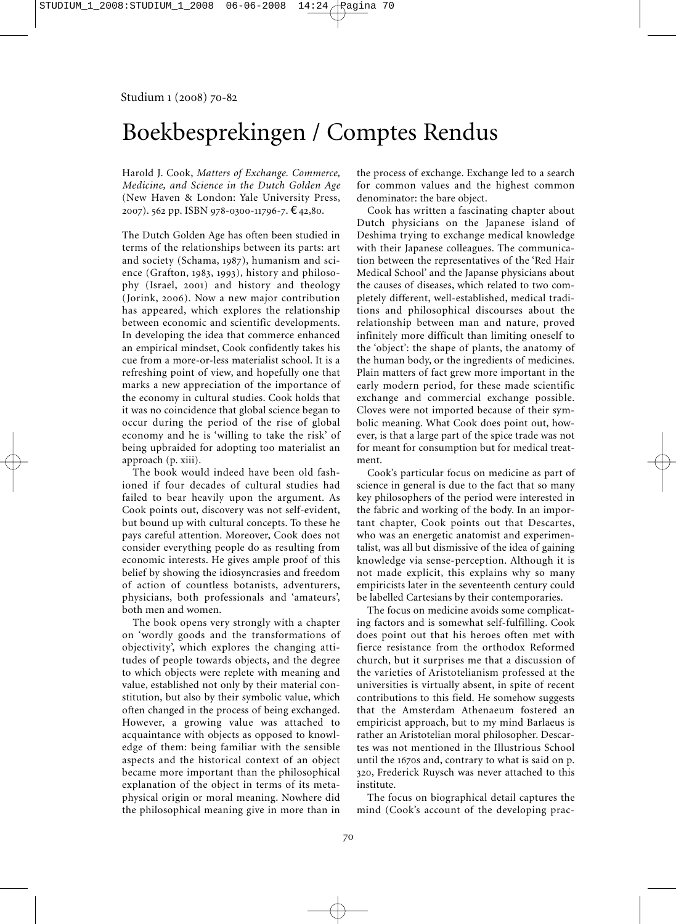# Boekbesprekingen / Comptes Rendus

Harold J. Cook, *Matters of Exchange. Commerce, Medicine, and Science in the Dutch Golden Age* (New Haven & London: Yale University Press, 2007). 562 pp. ISBN 978-0300-11796-7. €42,80.

The Dutch Golden Age has often been studied in terms of the relationships between its parts: art and society (Schama, 1987), humanism and science (Grafton, 1983, 1993), history and philosophy (Israel, 2001) and history and theology (Jorink, 2006). Now a new major contribution has appeared, which explores the relationship between economic and scientific developments. In developing the idea that commerce enhanced an empirical mindset, Cook confidently takes his cue from a more-or-less materialist school. It is a refreshing point of view, and hopefully one that marks a new appreciation of the importance of the economy in cultural studies. Cook holds that it was no coincidence that global science began to occur during the period of the rise of global economy and he is 'willing to take the risk' of being upbraided for adopting too materialist an approach (p. xiii).

The book would indeed have been old fashioned if four decades of cultural studies had failed to bear heavily upon the argument. As Cook points out, discovery was not self-evident, but bound up with cultural concepts. To these he pays careful attention. Moreover, Cook does not consider everything people do as resulting from economic interests. He gives ample proof of this belief by showing the idiosyncrasies and freedom of action of countless botanists, adventurers, physicians, both professionals and 'amateurs', both men and women.

The book opens very strongly with a chapter on 'wordly goods and the transformations of objectivity', which explores the changing attitudes of people towards objects, and the degree to which objects were replete with meaning and value, established not only by their material constitution, but also by their symbolic value, which often changed in the process of being exchanged. However, a growing value was attached to acquaintance with objects as opposed to knowledge of them: being familiar with the sensible aspects and the historical context of an object became more important than the philosophical explanation of the object in terms of its metaphysical origin or moral meaning. Nowhere did the philosophical meaning give in more than in

the process of exchange. Exchange led to a search for common values and the highest common denominator: the bare object.

Cook has written a fascinating chapter about Dutch physicians on the Japanese island of Deshima trying to exchange medical knowledge with their Japanese colleagues. The communication between the representatives of the 'Red Hair Medical School' and the Japanse physicians about the causes of diseases, which related to two completely different, well-established, medical traditions and philosophical discourses about the relationship between man and nature, proved infinitely more difficult than limiting oneself to the 'object': the shape of plants, the anatomy of the human body, or the ingredients of medicines. Plain matters of fact grew more important in the early modern period, for these made scientific exchange and commercial exchange possible. Cloves were not imported because of their symbolic meaning. What Cook does point out, however, is that a large part of the spice trade was not for meant for consumption but for medical treatment.

Cook's particular focus on medicine as part of science in general is due to the fact that so many key philosophers of the period were interested in the fabric and working of the body. In an important chapter, Cook points out that Descartes, who was an energetic anatomist and experimentalist, was all but dismissive of the idea of gaining knowledge via sense-perception. Although it is not made explicit, this explains why so many empiricists later in the seventeenth century could be labelled Cartesians by their contemporaries.

The focus on medicine avoids some complicating factors and is somewhat self-fulfilling. Cook does point out that his heroes often met with fierce resistance from the orthodox Reformed church, but it surprises me that a discussion of the varieties of Aristotelianism professed at the universities is virtually absent, in spite of recent contributions to this field. He somehow suggests that the Amsterdam Athenaeum fostered an empiricist approach, but to my mind Barlaeus is rather an Aristotelian moral philosopher. Descartes was not mentioned in the Illustrious School until the 1670s and, contrary to what is said on p. 320, Frederick Ruysch was never attached to this institute.

The focus on biographical detail captures the mind (Cook's account of the developing prac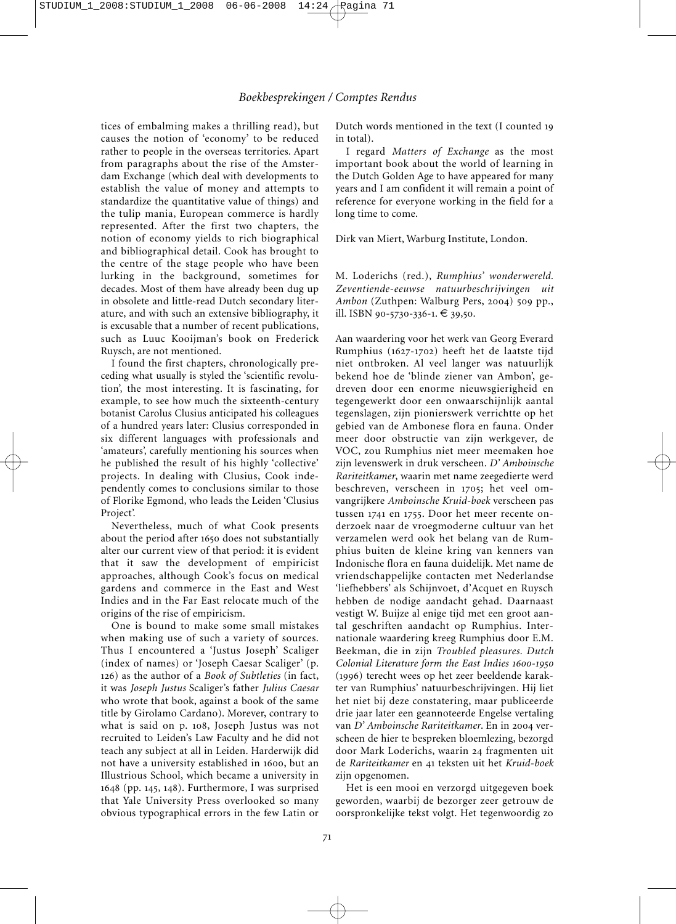tices of embalming makes a thrilling read), but causes the notion of 'economy' to be reduced rather to people in the overseas territories. Apart from paragraphs about the rise of the Amster dam Exchange (which deal with developments to establish the value of money and attempts to standardize the quantitative value of things) and the tulip mania, European commerce is hardly represented. After the first two chapters, the notion of economy yields to rich biographical and bibliographical detail. Cook has brought to the centre of the stage people who have been lurking in the background, sometimes for decades. Most of them have already been dug up in obsolete and little-read Dutch secondary literature, and with such an extensive bibliography, it is excusable that a number of recent publications, such as Luuc Kooijman's book on Frederick Ruysch, are not mentioned.

I found the first chapters, chronologically preceding what usually is styled the 'scientific revolution', the most interesting. It is fascinating, for example, to see how much the sixteenth-century botanist Carolus Clusius anticipated his colleagues of a hundred years later: Clusius corresponded in six different languages with professionals and 'amateurs', carefully mentioning his sources when he published the result of his highly 'collective' projects. In dealing with Clusius, Cook independently comes to conclusions similar to those of Florike Egmond, who leads the Leiden 'Clusius Project'.

Nevertheless, much of what Cook presents about the period after 1650 does not substantially alter our current view of that period: it is evident that it saw the development of empiricist approaches, although Cook's focus on medical gardens and commerce in the East and West Indies and in the Far East relocate much of the origins of the rise of empiricism.

One is bound to make some small mistakes when making use of such a variety of sources. Thus I encountered a 'Justus Joseph' Scaliger (index of names) or 'Joseph Caesar Scaliger' (p. 126) as the author of a *Book of Subtleties* (in fact, it was *Joseph Justus* Scaliger's father *Julius Caesar* who wrote that book, against a book of the same title by Girolamo Cardano). Morever, contrary to what is said on p. 108, Joseph Justus was not recruited to Leiden's Law Faculty and he did not teach any subject at all in Leiden. Harderwijk did not have a university established in 1600, but an Illustrious School, which became a university in 1648 (pp. 145, 148). Furthermore, I was surprised that Yale University Press overlooked so many obvious typographical errors in the few Latin or

Dutch words mentioned in the text (I counted 19 in total).

I regard *Matters of Exchange* as the most important book about the world of learning in the Dutch Golden Age to have appeared for many years and I am confident it will remain a point of reference for everyone working in the field for a long time to come.

Dirk van Miert, Warburg Institute, London.

M. Loderichs (red.), *Rumphius' wonderwereld. Zeven tiende-eeuwse natuurbeschrijvingen uit Ambon* (Zuthpen: Walburg Pers, 2004) 509 pp., ill. ISBN 90-5730-336-1. € 39,50.

Aan waardering voor het werk van Georg Everard Rumphius (1627-1702) heeft het de laatste tijd niet ontbroken. Al veel langer was natuurlijk bekend hoe de 'blinde ziener van Ambon', gedreven door een enorme nieuwsgierigheid en tegengewerkt door een onwaarschijnlijk aantal tegenslagen, zijn pionierswerk verrichtte op het gebied van de Ambonese flora en fauna. Onder meer door obstructie van zijn werkgever, de VOC, zou Rumphius niet meer meemaken hoe zijn levenswerk in druk verscheen. *D' Amboinsche Rariteitkamer*, waarin met name zeegedierte werd beschreven, verscheen in 1705; het veel om vangrijkere *Amboinsche Kruid-boek* verscheen pas tussen 1741 en 1755. Door het meer recente on derzoek naar de vroegmoderne cultuur van het verzamelen werd ook het belang van de Rum phius buiten de kleine kring van kenners van Indonische flora en fauna duidelijk. Met name de vriendschappelijke contacten met Nederlandse 'liefhebbers' als Schijnvoet, d'Acquet en Ruysch hebben de nodige aandacht gehad. Daarnaast vestigt W. Buijze al enige tijd met een groot aantal geschriften aandacht op Rumphius. Inter nationale waardering kreeg Rumphius door E.M. Beekman, die in zijn *Troubled pleasures. Dutch Colonial Literature form the East Indies 1600-1950* (1996) terecht wees op het zeer beeldende karakter van Rumphius' natuurbeschrijvingen. Hij liet het niet bij deze constatering, maar publiceerde drie jaar later een geannoteerde Engelse vertaling van *D' Amboinsche Rariteitkamer*. En in 2004 verscheen de hier te bespreken bloemlezing, bezorgd door Mark Loderichs, waarin 24 fragmenten uit de *Rariteitkamer* en 41 teksten uit het *Kruid-boek* zijn opgenomen.

Het is een mooi en verzorgd uitgegeven boek geworden, waarbij de bezorger zeer getrouw de oorspronkelijke tekst volgt. Het tegenwoordig zo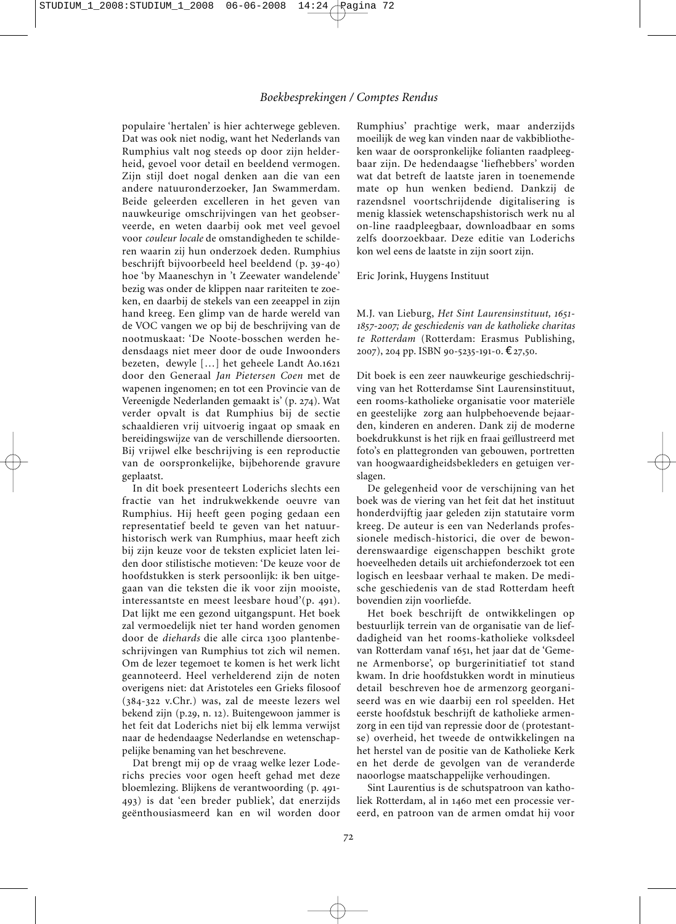populaire 'hertalen' is hier achterwege gebleven. Dat was ook niet nodig, want het Nederlands van Rumphius valt nog steeds op door zijn helderheid, gevoel voor detail en beeldend vermogen. Zijn stijl doet nogal denken aan die van een andere natuuronderzoeker, Jan Swammerdam. Beide geleerden excelleren in het geven van nauwkeurige omschrijvingen van het geobserveerde, en weten daarbij ook met veel gevoel voor *couleur locale* de omstandigheden te schilderen waarin zij hun onderzoek deden. Rumphius beschrijft bijvoorbeeld heel beeldend (p. 39-40) hoe 'by Maaneschyn in 't Zeewater wandelende' bezig was onder de klippen naar rariteiten te zoeken, en daarbij de stekels van een zeeappel in zijn hand kreeg. Een glimp van de harde wereld van de VOC vangen we op bij de beschrijving van de nootmuskaat: 'De Noote-bosschen werden he densdaags niet meer door de oude Inwoonders bezeten, dewyle […] het geheele Landt Ao.1621 door den Generaal *Jan Pietersen Coen* met de wapenen ingenomen; en tot een Provincie van de Vereenigde Nederlanden gemaakt is' (p. 274). Wat verder opvalt is dat Rumphius bij de sectie schaaldieren vrij uitvoerig ingaat op smaak en bereidingswijze van de verschillende diersoorten. Bij vrijwel elke beschrijving is een reproductie van de oorspronkelijke, bijbehorende gravure geplaatst.

In dit boek presenteert Loderichs slechts een fractie van het indrukwekkende oeuvre van Rumphius. Hij heeft geen poging gedaan een representatief beeld te geven van het natuurhistorisch werk van Rumphius, maar heeft zich bij zijn keuze voor de teksten expliciet laten leiden door stilistische motieven: 'De keuze voor de hoofdstukken is sterk persoonlijk: ik ben uitgegaan van die teksten die ik voor zijn mooiste, interessantste en meest leesbare houd'(p. 491). Dat lijkt me een gezond uitgangspunt. Het boek zal vermoedelijk niet ter hand worden genomen door de *diehards* die alle circa 1300 plantenbeschrijvingen van Rumphius tot zich wil nemen. Om de lezer tegemoet te komen is het werk licht geannoteerd. Heel verhelderend zijn de noten overigens niet: dat Aristoteles een Grieks filosoof (384-322 v.Chr.) was, zal de meeste lezers wel bekend zijn (p.29, n. 12). Buitengewoon jammer is het feit dat Loderichs niet bij elk lemma verwijst naar de hedendaagse Nederlandse en wetenschappelijke benaming van het beschrevene.

Dat brengt mij op de vraag welke lezer Loderichs precies voor ogen heeft gehad met deze bloemlezing. Blijkens de verantwoording (p. 491- 493) is dat 'een breder publiek', dat enerzijds geënthousiasmeerd kan en wil worden door

Rumphius' prachtige werk, maar anderzijds moeilijk de weg kan vinden naar de vakbibliotheken waar de oorspronkelijke folianten raadpleegbaar zijn. De hedendaagse 'liefhebbers' worden wat dat betreft de laatste jaren in toenemende mate op hun wenken bediend. Dankzij de razendsnel voortschrijdende digitalisering is menig klassiek wetenschapshistorisch werk nu al on-line raadpleegbaar, downloadbaar en soms zelfs doorzoekbaar. Deze editie van Loderichs kon wel eens de laatste in zijn soort zijn.

Eric Jorink, Huygens Instituut

M.J. van Lieburg, *Het Sint Laurensinstituut, 1651- 1857-2007; de geschiedenis van de katholieke charitas te Rotterdam* (Rotterdam: Erasmus Publishing, 2007), 204 pp. ISBN 90-5235-191-0. €27,50.

Dit boek is een zeer nauwkeurige geschiedschrijving van het Rotterdamse Sint Laurensinstituut, een rooms-katholieke organisatie voor materiële en geestelijke zorg aan hulpbehoevende bejaarden, kinderen en anderen. Dank zij de moderne boekdrukkunst is het rijk en fraai geïllustreerd met foto's en plattegronden van gebouwen, portretten van hoogwaardigheidsbekleders en getuigen verslagen.

De gelegenheid voor de verschijning van het boek was de viering van het feit dat het instituut honderdvijftig jaar geleden zijn statutaire vorm kreeg. De auteur is een van Nederlands profes sionele medisch-historici, die over de bewonderenswaardige eigenschappen beschikt grote hoeveelheden details uit archiefonderzoek tot een logisch en leesbaar verhaal te maken. De medische geschiedenis van de stad Rotterdam heeft bovendien zijn voorliefde.

Het boek beschrijft de ontwikkelingen op bestuurlijk terrein van de organisatie van de liefdadigheid van het rooms-katholieke volksdeel van Rotterdam vanaf 1651, het jaar dat de 'Geme ne Armenborse', op burgerinitiatief tot stand kwam. In drie hoofdstukken wordt in minutieus detail beschreven hoe de armenzorg georganiseerd was en wie daarbij een rol speelden. Het eerste hoofdstuk beschrijft de katholieke armenzorg in een tijd van repressie door de (protestantse) overheid, het tweede de ontwikkelingen na het herstel van de positie van de Katholieke Kerk en het derde de gevolgen van de veranderde naoorlogse maatschappelijke verhoudingen.

Sint Laurentius is de schutspatroon van katholiek Rotterdam, al in 1460 met een processie vereerd, en patroon van de armen omdat hij voor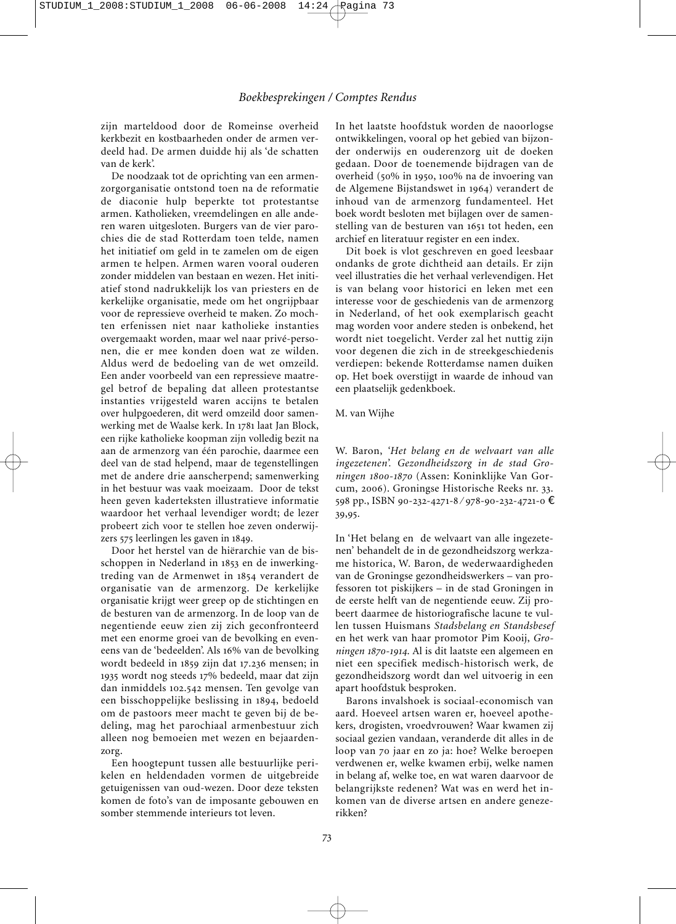zijn marteldood door de Romeinse overheid kerkbezit en kostbaarheden onder de armen verdeeld had. De armen duidde hij als 'de schatten van de kerk'.

De noodzaak tot de oprichting van een armenzorgorganisatie ontstond toen na de reformatie de diaconie hulp beperkte tot protestantse armen. Katholieken, vreemdelingen en alle anderen waren uitgesloten. Burgers van de vier parochies die de stad Rotterdam toen telde, namen het initiatief om geld in te zamelen om de eigen armen te helpen. Armen waren vooral ouderen zonder middelen van bestaan en wezen. Het initiatief stond nadrukkelijk los van priesters en de kerkelijke organisatie, mede om het ongrijpbaar voor de repressieve overheid te maken. Zo mochten erfenissen niet naar katholieke instanties overgemaakt worden, maar wel naar privé-personen, die er mee konden doen wat ze wilden. Aldus werd de bedoeling van de wet omzeild. Een ander voorbeeld van een repressieve maatregel betrof de bepaling dat alleen protestantse instanties vrijgesteld waren accijns te betalen over hulpgoederen, dit werd omzeild door samenwerking met de Waalse kerk. In 1781 laat Jan Block, een rijke katholieke koopman zijn volledig bezit na aan de armenzorg van één parochie, daarmee een deel van de stad helpend, maar de tegenstellingen met de andere drie aanscherpend; samenwerking in het bestuur was vaak moeizaam. Door de tekst heen geven kaderteksten illustratieve informatie waardoor het verhaal levendiger wordt; de lezer probeert zich voor te stellen hoe zeven onderwijzers 575 leerlingen les gaven in 1849.

Door het herstel van de hiërarchie van de bisschoppen in Nederland in 1853 en de inwerkingtreding van de Armenwet in 1854 verandert de organisatie van de armenzorg. De kerkelijke organisatie krijgt weer greep op de stichtingen en de besturen van de armenzorg. In de loop van de negentiende eeuw zien zij zich geconfronteerd met een enorme groei van de bevolking en eveneens van de 'bedeelden'. Als 16% van de bevolking wordt bedeeld in 1859 zijn dat 17.236 mensen; in 1935 wordt nog steeds 17% bedeeld, maar dat zijn dan inmiddels 102.542 mensen. Ten gevolge van een bisschoppelijke beslissing in 1894, bedoeld om de pastoors meer macht te geven bij de be deling, mag het parochiaal armenbestuur zich alleen nog bemoeien met wezen en bejaardenzorg.

Een hoogtepunt tussen alle bestuurlijke perikelen en heldendaden vormen de uitgebreide getuigenissen van oud-wezen. Door deze teksten komen de foto's van de imposante gebouwen en somber stemmende interieurs tot leven.

In het laatste hoofdstuk worden de naoorlogse ontwikkelingen, vooral op het gebied van bijzonder onderwijs en ouderenzorg uit de doeken gedaan. Door de toenemende bijdragen van de overheid (50% in 1950, 100% na de invoering van de Algemene Bijstandswet in 1964) verandert de inhoud van de armenzorg fundamenteel. Het boek wordt besloten met bijlagen over de samenstelling van de besturen van 1651 tot heden, een archief en literatuur register en een index.

Dit boek is vlot geschreven en goed leesbaar ondanks de grote dichtheid aan details. Er zijn veel illustraties die het verhaal verlevendigen. Het is van belang voor historici en leken met een interesse voor de geschiedenis van de armenzorg in Nederland, of het ook exemplarisch geacht mag worden voor andere steden is onbekend, het wordt niet toegelicht. Verder zal het nuttig zijn voor degenen die zich in de streekgeschiedenis verdiepen: bekende Rotterdamse namen duiken op. Het boek overstijgt in waarde de inhoud van een plaatselijk gedenkboek.

#### M. van Wijhe

W. Baron, *'Het belang en de welvaart van alle ingezetenen'. Gezondheidszorg in de stad Gro ningen 1800-1870* (Assen: Koninklijke Van Gor cum, 2006). Groningse Historische Reeks nr. 33. 598 pp., ISBN 90-232-4271-8 ⁄ 978-90-232-4721-0 € 39,95.

In 'Het belang en de welvaart van alle ingezetenen' behandelt de in de gezondheidszorg werkzame historica, W. Baron, de wederwaardigheden van de Groningse gezondheidswerkers – van professoren tot piskijkers – in de stad Groningen in de eerste helft van de negentiende eeuw. Zij probeert daarmee de historiografische lacune te vullen tussen Huismans *Stadsbelang en Standsbesef* en het werk van haar promotor Pim Kooij, *Groningen 1870-1914*. Al is dit laatste een algemeen en niet een specifiek medisch-historisch werk, de gezondheidszorg wordt dan wel uitvoerig in een apart hoofdstuk besproken.

Barons invalshoek is sociaal-economisch van aard. Hoeveel artsen waren er, hoeveel apothekers, drogisten, vroedvrouwen? Waar kwamen zij sociaal gezien vandaan, veranderde dit alles in de loop van 70 jaar en zo ja: hoe? Welke beroepen verdwenen er, welke kwamen erbij, welke namen in belang af, welke toe, en wat waren daarvoor de belangrijkste redenen? Wat was en werd het in komen van de diverse artsen en andere genezerikken?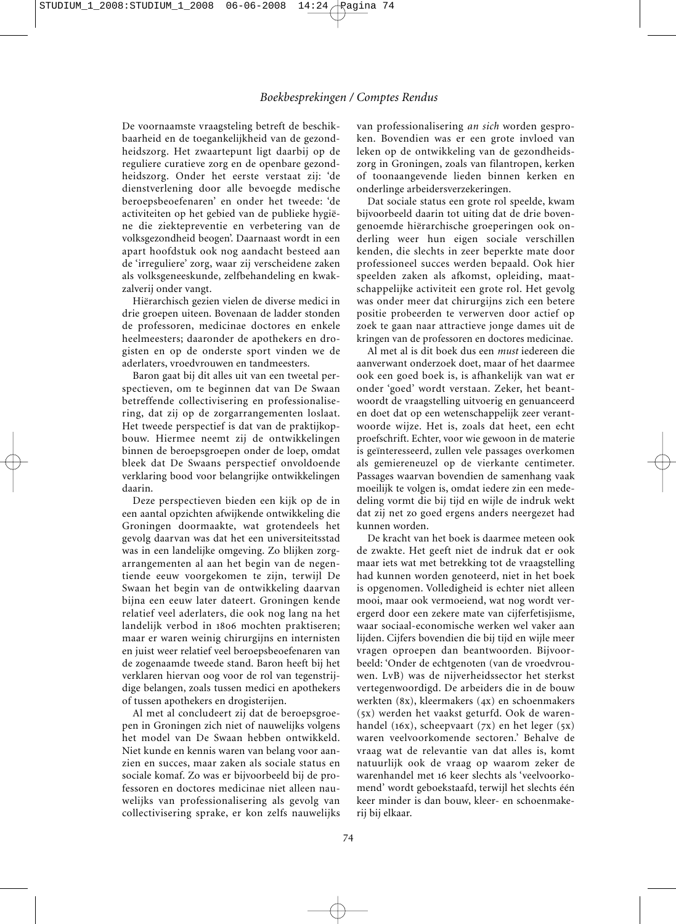De voornaamste vraagsteling betreft de beschikbaarheid en de toegankelijkheid van de gezondheidszorg. Het zwaartepunt ligt daarbij op de reguliere curatieve zorg en de openbare gezondheidszorg. Onder het eerste verstaat zij: 'de dienstverlening door alle bevoegde medische beroepsbeoefenaren' en onder het tweede: 'de activiteiten op het gebied van de publieke hygiëne die ziektepreventie en verbetering van de volksgezondheid beogen'. Daarnaast wordt in een apart hoofdstuk ook nog aandacht besteed aan de 'irreguliere' zorg, waar zij verscheidene zaken als volksgeneeskunde, zelfbehandeling en kwakzalverij onder vangt.

Hiërarchisch gezien vielen de diverse medici in drie groepen uiteen. Bovenaan de ladder stonden de professoren, medicinae doctores en enkele heelmeesters; daaronder de apothekers en drogisten en op de onderste sport vinden we de aderlaters, vroedvrouwen en tandmeesters.

Baron gaat bij dit alles uit van een tweetal perspectieven, om te beginnen dat van De Swaan betreffende collectivisering en professionalisering, dat zij op de zorgarrangementen loslaat. Het tweede perspectief is dat van de praktijkopbouw. Hiermee neemt zij de ontwikkelingen binnen de beroepsgroepen onder de loep, omdat bleek dat De Swaans perspectief onvoldoende verklaring bood voor belangrijke ontwikkelingen daarin.

Deze perspectieven bieden een kijk op de in een aantal opzichten afwijkende ontwikkeling die Groningen doormaakte, wat grotendeels het gevolg daarvan was dat het een universiteitsstad was in een landelijke omgeving. Zo blijken zorgarrangementen al aan het begin van de negentiende eeuw voorgekomen te zijn, terwijl De Swaan het begin van de ontwikkeling daarvan bijna een eeuw later dateert. Groningen kende relatief veel aderlaters, die ook nog lang na het landelijk verbod in 1806 mochten praktiseren; maar er waren weinig chirurgijns en internisten en juist weer relatief veel beroepsbeoefenaren van de zogenaamde tweede stand. Baron heeft bij het verklaren hiervan oog voor de rol van tegenstrijdige belangen, zoals tussen medici en apothekers of tussen apothekers en drogisterijen.

Al met al concludeert zij dat de beroepsgroepen in Groningen zich niet of nauwelijks volgens het model van De Swaan hebben ontwikkeld. Niet kunde en kennis waren van belang voor aanzien en succes, maar zaken als sociale status en sociale komaf. Zo was er bijvoorbeeld bij de professoren en doctores medicinae niet alleen nauwelijks van professionalisering als gevolg van collectivisering sprake, er kon zelfs nauwelijks van professionalisering *an sich* worden gesproken. Bovendien was er een grote invloed van leken op de ontwikkeling van de gezondheidszorg in Groningen, zoals van filantropen, kerken of toonaangevende lieden binnen kerken en onderlinge arbeidersverzekeringen.

Dat sociale status een grote rol speelde, kwam bijvoorbeeld daarin tot uiting dat de drie bovengenoemde hiërarchische groeperingen ook on derling weer hun eigen sociale verschillen kenden, die slechts in zeer beperkte mate door professioneel succes werden bepaald. Ook hier speelden zaken als afkomst, opleiding, maatschappelijke activiteit een grote rol. Het gevolg was onder meer dat chirurgijns zich een betere positie probeerden te verwerven door actief op zoek te gaan naar attractieve jonge dames uit de kringen van de professoren en doctores medicinae.

Al met al is dit boek dus een *must* iedereen die aanverwant onderzoek doet, maar of het daarmee ook een goed boek is, is afhankelijk van wat er onder 'goed' wordt verstaan. Zeker, het beantwoordt de vraagstelling uitvoerig en genuanceerd en doet dat op een wetenschappelijk zeer verantwoorde wijze. Het is, zoals dat heet, een echt proefschrift. Echter, voor wie gewoon in de materie is geïnteresseerd, zullen vele passages overkomen als gemiereneuzel op de vierkante centimeter. Passages waarvan bovendien de samenhang vaak moeilijk te volgen is, omdat iedere zin een mededeling vormt die bij tijd en wijle de indruk wekt dat zij net zo goed ergens anders neergezet had kunnen worden.

De kracht van het boek is daarmee meteen ook de zwakte. Het geeft niet de indruk dat er ook maar iets wat met betrekking tot de vraagstelling had kunnen worden genoteerd, niet in het boek is opgenomen. Volledigheid is echter niet alleen mooi, maar ook vermoeiend, wat nog wordt verergerd door een zekere mate van cijferfetisjisme, waar sociaal-economische werken wel vaker aan lijden. Cijfers bovendien die bij tijd en wijle meer vragen oproepen dan beantwoorden. Bijvoorbeeld: 'Onder de echtgenoten (van de vroedvrouwen. LvB) was de nijverheidssector het sterkst vertegenwoordigd. De arbeiders die in de bouw werkten (8x), kleermakers (4x) en schoenmakers (5x) werden het vaakst geturfd. Ook de warenhandel (16x), scheepvaart (7x) en het leger (5x) waren veelvoorkomende sectoren.' Behalve de vraag wat de relevantie van dat alles is, komt natuurlijk ook de vraag op waarom zeker de warenhandel met 16 keer slechts als 'veelvoorkomend' wordt geboekstaafd, terwijl het slechts één keer minder is dan bouw, kleer- en schoenmakerij bij elkaar.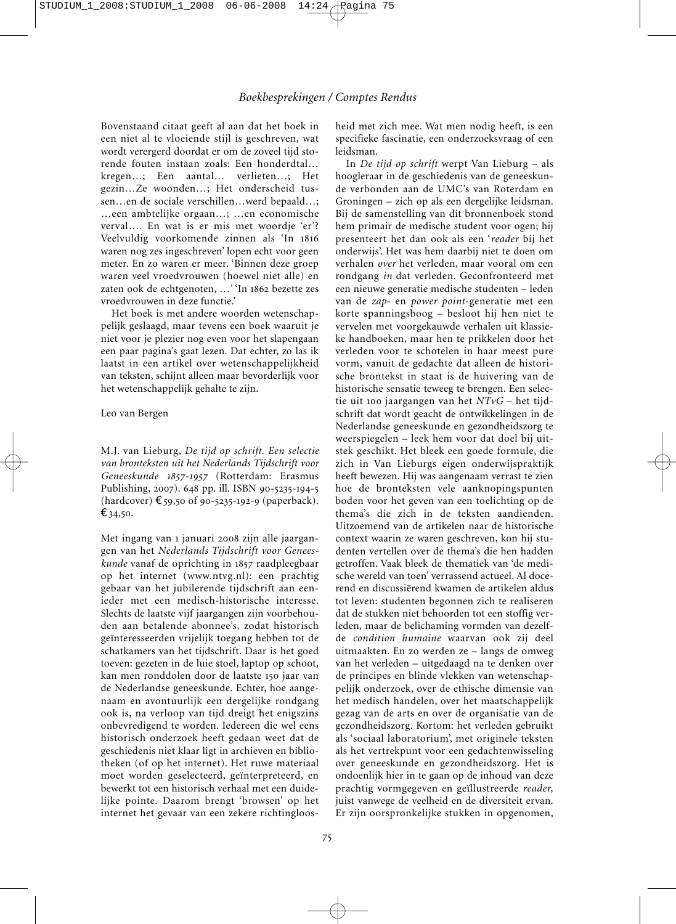Bovenstaand citaat geeft al aan dat het boek in een niet al te vloeiende stijl is geschreven, wat wordt verergerd doordat er om de zoveel tijd storende fouten instaan zoals: Een honderdtal… kregen…; Een aantal… verlieten…; Het gezin…Ze woonden…; Het onderscheid tussen…en de sociale verschillen…werd bepaald…; …een ambtelijke orgaan…; …en economische verval…. En wat is er mis met woordje 'er'? Veelvuldig voorkomende zinnen als 'In 1816 waren nog zes ingeschreven' lopen echt voor geen meter. En zo waren er meer. 'Binnen deze groep waren veel vroedvrouwen (hoewel niet alle) en zaten ook de echtgenoten, …' 'In 1862 bezette zes vroedvrouwen in deze functie.'

Het boek is met andere woorden wetenschappelijk geslaagd, maar tevens een boek waaruit je niet voor je plezier nog even voor het slapengaan een paar pagina's gaat lezen. Dat echter, zo las ik laatst in een artikel over wetenschappelijkheid van teksten, schijnt alleen maar bevorderlijk voor het wetenschappelijk gehalte te zijn.

#### Leo van Bergen

M.J. van Lieburg, *De tijd op schrift. Een selectie van bronteksten uit het Nederlands Tijdschrift voor Geneeskunde 1857-1957* (Rotterdam: Erasmus Publishing, 2007). 648 pp. ill. ISBN 90-5235-194-5 (hardcover) €59,50 of 90-5235-192-9 (paperback). €34,50.

Met ingang van 1 januari 2008 zijn alle jaargangen van het *Nederlands Tijdschrift voor Genees kunde* vanaf de oprichting in 1857 raadpleegbaar op het internet (www.ntvg.nl): een prachtig gebaar van het jubilerende tijdschrift aan een ieder met een medisch-historische interesse. Slechts de laatste vijf jaargangen zijn voorbehouden aan betalende abonnee's, zodat historisch geïnteresseerden vrijelijk toegang hebben tot de schatkamers van het tijdschrift. Daar is het goed toeven: gezeten in de luie stoel, laptop op schoot, kan men ronddolen door de laatste 150 jaar van de Nederlandse geneeskunde. Echter, hoe aangenaam en avontuurlijk een dergelijke rondgang ook is, na verloop van tijd dreigt het enigszins onbevredigend te worden. Iedereen die wel eens historisch onderzoek heeft gedaan weet dat de geschiedenis niet klaar ligt in archieven en bibliotheken (of op het internet). Het ruwe materiaal moet worden geselecteerd, geïnterpreteerd, en bewerkt tot een historisch verhaal met een duidelijke pointe. Daarom brengt 'browsen' op het internet het gevaar van een zekere richtingloosheid met zich mee. Wat men nodig heeft, is een specifieke fascinatie, een onderzoeksvraag of een leidsman.

In *De tijd op schrift* werpt Van Lieburg – als hoogleraar in de geschiedenis van de geneeskunde verbonden aan de UMC's van Roterdam en Groningen – zich op als een dergelijke leidsman. Bij de samenstelling van dit bronnenboek stond hem primair de medische student voor ogen; hij presenteert het dan ook als een '*reader* bij het onderwijs'. Het was hem daarbij niet te doen om verhalen *over* het verleden, maar vooral om een rondgang *in* dat verleden. Geconfronteerd met een nieuwe generatie medische studenten – leden van de *zap*- en *power point*-generatie met een korte spanningsboog – besloot hij hen niet te vervelen met voorgekauwde verhalen uit klassieke handboeken, maar hen te prikkelen door het verleden voor te schotelen in haar meest pure vorm, vanuit de gedachte dat alleen de historische brontekst in staat is de huivering van de historische sensatie teweeg te brengen. Een selectie uit 100 jaargangen van het *NTvG* – het tijdschrift dat wordt geacht de ontwikkelingen in de Nederlandse geneeskunde en gezondheidszorg te weerspiegelen – leek hem voor dat doel bij uitstek geschikt. Het bleek een goede formule, die zich in Van Lieburgs eigen onderwijspraktijk heeft bewezen. Hij was aangenaam verrast te zien hoe de bronteksten vele aanknopingspunten boden voor het geven van een toelichting op de thema's die zich in de teksten aandienden. Uitzoemend van de artikelen naar de historische context waarin ze waren geschreven, kon hij studenten vertellen over de thema's die hen hadden getroffen. Vaak bleek de thematiek van 'de medische wereld van toen' verrassend actueel. Al docerend en discussiërend kwamen de artikelen aldus tot leven: studenten begonnen zich te realiseren dat de stukken niet behoorden tot een stoffig verleden, maar de belichaming vormden van dezelfde *condition humaine* waarvan ook zij deel uitmaakten. En zo werden ze – langs de omweg van het verleden – uitgedaagd na te denken over de principes en blinde vlekken van wetenschappelijk onderzoek, over de ethische dimensie van het medisch handelen, over het maatschappelijk gezag van de arts en over de organisatie van de gezondheidszorg. Kortom: het verleden gebruikt als 'sociaal laboratorium', met originele teksten als het vertrekpunt voor een gedachtenwisseling over geneeskunde en gezondheidszorg. Het is ondoenlijk hier in te gaan op de inhoud van deze prachtig vormgegeven en geïllustreerde *reader,* juist vanwege de veelheid en de diversiteit ervan. Er zijn oorspronkelijke stukken in opgenomen,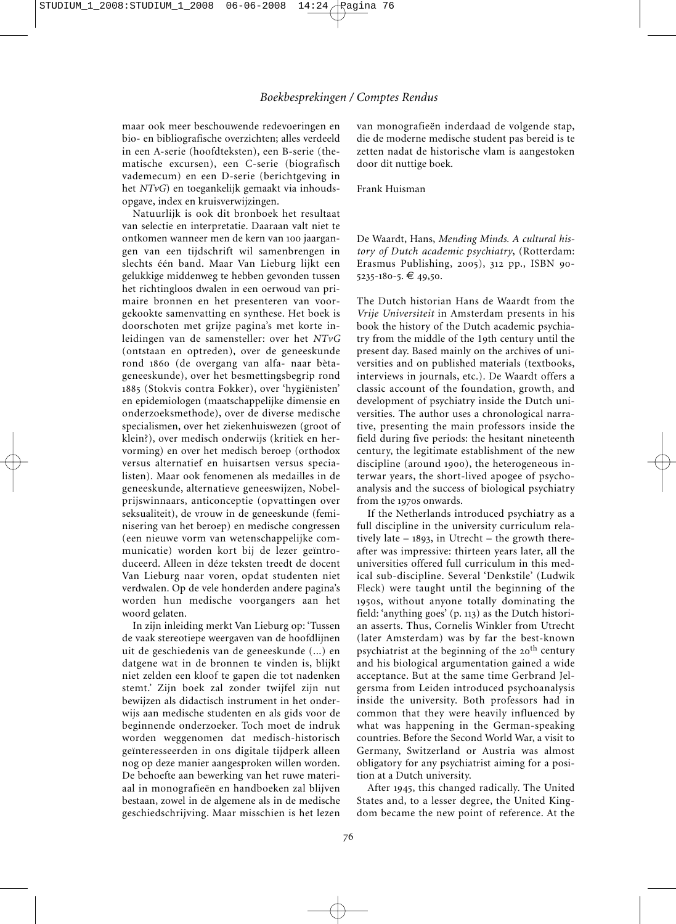maar ook meer beschouwende redevoeringen en bio- en bibliografische overzichten; alles verdeeld in een A-serie (hoofdteksten), een B-serie (thematische excursen), een C-serie (biografisch vademecum) en een D-serie (berichtgeving in het *NTvG*) en toegankelijk gemaakt via inhoudsopgave, index en kruisverwijzingen.

Natuurlijk is ook dit bronboek het resultaat van selectie en interpretatie. Daaraan valt niet te ontkomen wanneer men de kern van 100 jaargangen van een tijdschrift wil samenbrengen in slechts één band. Maar Van Lieburg lijkt een gelukkige middenweg te hebben gevonden tussen het richtingloos dwalen in een oerwoud van primaire bronnen en het presenteren van voorgekookte samenvatting en synthese. Het boek is doorschoten met grijze pagina's met korte in leidingen van de samensteller: over het *NTvG* (ontstaan en optreden), over de geneeskunde rond 1860 (de overgang van alfa- naar bètageneeskunde), over het besmettingsbegrip rond 1885 (Stokvis contra Fokker), over 'hygiënisten' en epidemiologen (maatschappelijke dimensie en onderzoeksmethode), over de diverse medische specialismen, over het ziekenhuiswezen (groot of klein?), over medisch onderwijs (kritiek en hervorming) en over het medisch beroep (orthodox versus alternatief en huisartsen versus specialisten). Maar ook fenomenen als medailles in de geneeskunde, alternatieve geneeswijzen, Nobel prijs winnaars, anticonceptie (opvattingen over seksualiteit), de vrouw in de geneeskunde (femi nisering van het beroep) en medische congressen (een nieuwe vorm van wetenschappelijke communicatie) worden kort bij de lezer geïntroduceerd. Alleen in déze teksten treedt de docent Van Lieburg naar voren, opdat studenten niet verdwalen. Op de vele honderden andere pagina's worden hun medische voorgangers aan het woord gelaten.

In zijn inleiding merkt Van Lieburg op: 'Tussen de vaak stereotiepe weergaven van de hoofdlijnen uit de geschiedenis van de geneeskunde (...) en datgene wat in de bronnen te vinden is, blijkt niet zelden een kloof te gapen die tot nadenken stemt.' Zijn boek zal zonder twijfel zijn nut bewijzen als didactisch instrument in het onderwijs aan medische studenten en als gids voor de beginnende onderzoeker. Toch moet de indruk worden weggenomen dat medisch-historisch geïnteresseerden in ons digitale tijdperk alleen nog op deze manier aangesproken willen worden. De behoefte aan bewerking van het ruwe materiaal in monografieën en handboeken zal blijven bestaan, zowel in de algemene als in de medische geschiedschrijving. Maar misschien is het lezen van monografieën inderdaad de volgende stap, die de moderne medische student pas bereid is te zetten nadat de historische vlam is aangestoken door dit nuttige boek.

## Frank Huisman

De Waardt, Hans, *Mending Minds. A cultural history of Dutch academic psychiatry*, (Rotterdam: Erasmus Publishing, 2005), 312 pp., ISBN 90- 5235-180-5. € 49,50.

The Dutch historian Hans de Waardt from the *Vrije Universiteit* in Amsterdam presents in his book the history of the Dutch academic psychiatry from the middle of the 19th century until the present day. Based mainly on the archives of universities and on published materials (textbooks, interviews in journals, etc.). De Waardt offers a classic account of the foundation, growth, and development of psychiatry inside the Dutch universities. The author uses a chronological narrative, presenting the main professors inside the field during five periods: the hesitant nineteenth century, the legitimate establishment of the new discipline (around 1900), the heterogeneous in ter war years, the short-lived apogee of psychoanalysis and the success of biological psychiatry from the 1970s onwards.

If the Netherlands introduced psychiatry as a full discipline in the university curriculum relatively late – 1893, in Utrecht – the growth thereafter was impressive: thirteen years later, all the universities offered full curriculum in this medical sub-discipline. Several 'Denkstile' (Ludwik Fleck) were taught until the beginning of the 1950s, without anyone totally dominating the field: 'anything goes' (p. 113) as the Dutch historian asserts. Thus, Cornelis Winkler from Utrecht (later Amsterdam) was by far the best-known psychiatrist at the beginning of the 20<sup>th</sup> century and his biological argumentation gained a wide acceptance. But at the same time Gerbrand Jelgersma from Leiden introduced psychoanalysis inside the university. Both professors had in common that they were heavily influenced by what was happening in the German-speaking countries. Before the Second World War, a visit to Germany, Switzerland or Austria was almost obligatory for any psychiatrist aiming for a position at a Dutch university.

After 1945, this changed radically. The United States and, to a lesser degree, the United Kingdom became the new point of reference. At the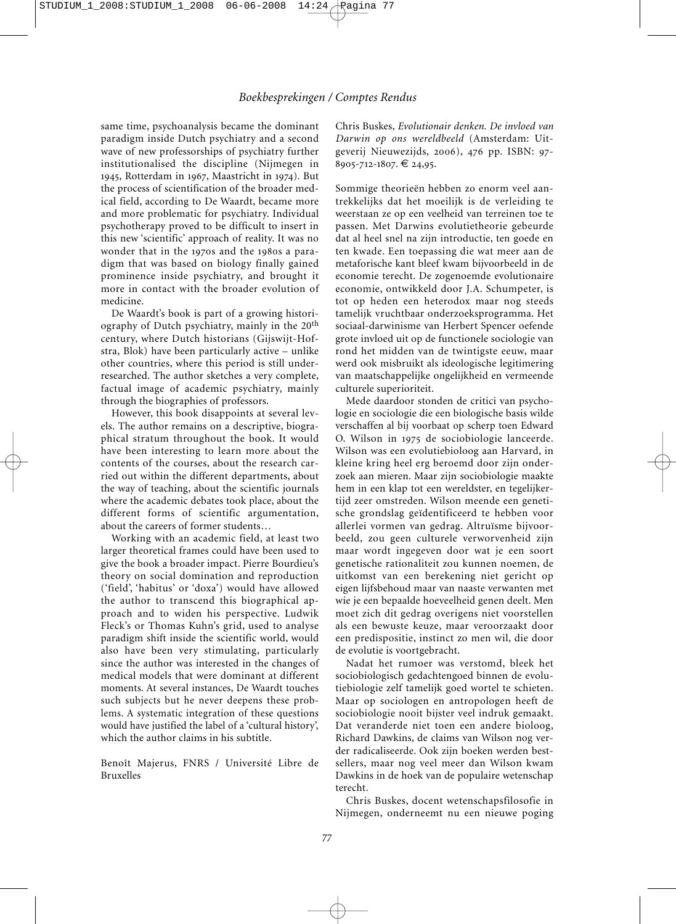same time, psychoanalysis became the dominant paradigm inside Dutch psychiatry and a second wave of new professorships of psychiatry further institutionalised the discipline (Nijmegen in 1945, Rotterdam in 1967, Maastricht in 1974). But the process of scientification of the broader medical field, according to De Waardt, became more and more problematic for psychiatry. Individual psychotherapy proved to be difficult to insert in this new 'scientific' approach of reality. It was no wonder that in the 1970s and the 1980s a paradigm that was based on biology finally gained prominence inside psychiatry, and brought it more in contact with the broader evolution of medicine.

De Waardt's book is part of a growing historiography of Dutch psychiatry, mainly in the 20<sup>th</sup> century, where Dutch historians (Gijswijt-Hofstra, Blok) have been particularly active – unlike other countries, where this period is still underresearched. The author sketches a very complete, factual image of academic psychiatry, mainly through the biographies of professors.

However, this book disappoints at several levels. The author remains on a descriptive, biographical stratum throughout the book. It would have been interesting to learn more about the contents of the courses, about the research carried out within the different departments, about the way of teaching, about the scientific journals where the academic debates took place, about the different forms of scientific argumentation, about the careers of former students…

Working with an academic field, at least two larger theoretical frames could have been used to give the book a broader impact. Pierre Bourdieu's theory on social domination and reproduction ('field', 'habitus' or 'doxa') would have allowed the author to transcend this biographical approach and to widen his perspective. Ludwik Fleck's or Thomas Kuhn's grid, used to analyse paradigm shift inside the scientific world, would also have been very stimulating, particularly since the author was interested in the changes of medical models that were dominant at different moments. At several instances, De Waardt touches such subjects but he never deepens these problems. A systematic integration of these questions would have justified the label of a 'cultural history', which the author claims in his subtitle.

Benoît Majerus, FNRS / Université Libre de Bruxelles

Chris Buskes, *Evolutionair denken. De invloed van Darwin op ons wereldbeeld* (Amsterdam: Uit geverij Nieuwezijds, 2006), 476 pp. ISBN: 97- 8905-712-1807. € 24,95.

Sommige theorieën hebben zo enorm veel aantrekkelijks dat het moeilijk is de verleiding te weerstaan ze op een veelheid van terreinen toe te passen. Met Darwins evolutietheorie gebeurde dat al heel snel na zijn introductie, ten goede en ten kwade. Een toepassing die wat meer aan de metaforische kant bleef kwam bijvoorbeeld in de economie terecht. De zogenoemde evolutionaire economie, ontwikkeld door J.A. Schumpeter, is tot op heden een heterodox maar nog steeds tamelijk vruchtbaar onderzoeksprogramma. Het sociaal-darwinisme van Herbert Spencer oefende grote invloed uit op de functionele sociologie van rond het midden van de twintigste eeuw, maar werd ook misbruikt als ideologische legitimering van maatschappelijke ongelijkheid en vermeende culturele superioriteit.

Mede daardoor stonden de critici van psychologie en sociologie die een biologische basis wilde verschaffen al bij voorbaat op scherp toen Edward O. Wilson in 1975 de sociobiologie lanceerde. Wilson was een evolutiebioloog aan Harvard, in kleine kring heel erg beroemd door zijn onderzoek aan mieren. Maar zijn sociobiologie maakte hem in een klap tot een wereldster, en tegelijkertijd zeer omstreden. Wilson meende een genetische grondslag geïdentificeerd te hebben voor allerlei vormen van gedrag. Altruïsme bijvoorbeeld, zou geen culturele verworvenheid zijn maar wordt ingegeven door wat je een soort genetische rationaliteit zou kunnen noemen, de uitkomst van een berekening niet gericht op eigen lijfsbehoud maar van naaste verwanten met wie je een bepaalde hoeveelheid genen deelt. Men moet zich dit gedrag overigens niet voorstellen als een bewuste keuze, maar veroorzaakt door een predispositie, instinct zo men wil, die door de evolutie is voortgebracht.

Nadat het rumoer was verstomd, bleek het sociobiologisch gedachtengoed binnen de evolutiebiologie zelf tamelijk goed wortel te schieten. Maar op sociologen en antropologen heeft de sociobiologie nooit bijster veel indruk gemaakt. Dat veranderde niet toen een andere bioloog, Richard Dawkins, de claims van Wilson nog verder radicaliseerde. Ook zijn boeken werden bestsellers, maar nog veel meer dan Wilson kwam Dawkins in de hoek van de populaire wetenschap terecht.

Chris Buskes, docent wetenschapsfilosofie in Nijmegen, onderneemt nu een nieuwe poging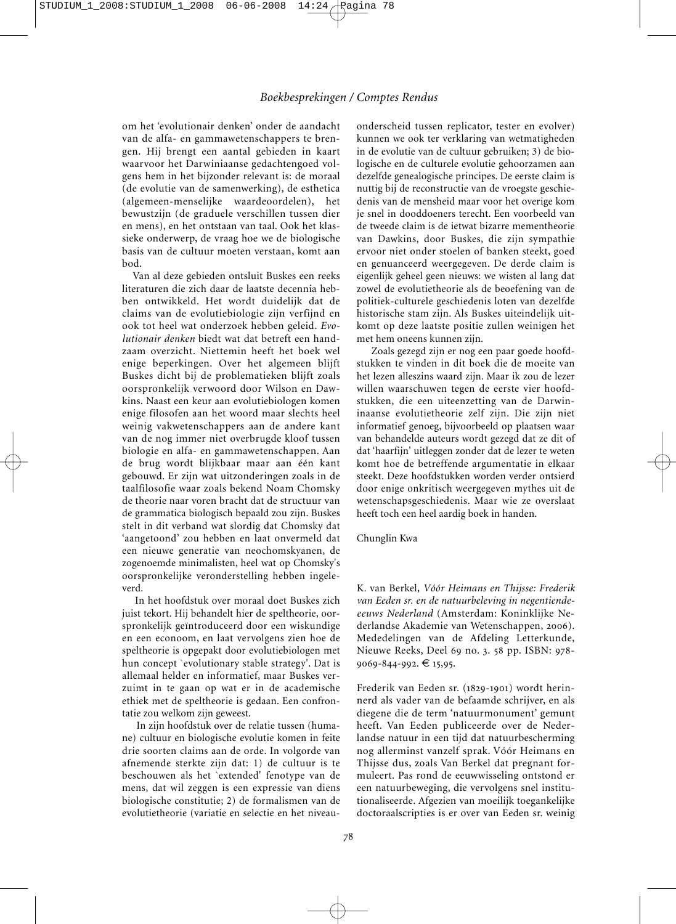om het 'evolutionair denken' onder de aandacht van de alfa- en gammawetenschappers te brengen. Hij brengt een aantal gebieden in kaart waarvoor het Darwiniaanse gedachtengoed volgens hem in het bijzonder relevant is: de moraal (de evolutie van de samenwerking), de esthetica (algemeen-menselijke waardeoordelen), het bewustzijn (de graduele verschillen tussen dier en mens), en het ontstaan van taal. Ook het klassieke onderwerp, de vraag hoe we de biologische basis van de cultuur moeten verstaan, komt aan bod.

Van al deze gebieden ontsluit Buskes een reeks literaturen die zich daar de laatste decennia hebben ontwikkeld. Het wordt duidelijk dat de claims van de evolutiebiologie zijn verfijnd en ook tot heel wat onderzoek hebben geleid. *Evo lutionair denken* biedt wat dat betreft een handzaam overzicht. Niettemin heeft het boek wel enige beperkingen. Over het algemeen blijft Buskes dicht bij de problematieken blijft zoals oorspronkelijk verwoord door Wilson en Daw kins. Naast een keur aan evolutiebiologen komen enige filosofen aan het woord maar slechts heel weinig vakwetenschappers aan de andere kant van de nog immer niet overbrugde kloof tussen biologie en alfa- en gammawetenschappen. Aan de brug wordt blijkbaar maar aan één kant gebouwd. Er zijn wat uitzonderingen zoals in de taalfilosofie waar zoals bekend Noam Chomsky de theorie naar voren bracht dat de structuur van de grammatica biologisch bepaald zou zijn. Buskes stelt in dit verband wat slordig dat Chomsky dat 'aangetoond' zou hebben en laat onvermeld dat een nieuwe generatie van neochomskyanen, de zogenoemde minimalisten, heel wat op Chomsky's oorspronkelijke veronderstelling hebben ingeleverd.

In het hoofdstuk over moraal doet Buskes zich juist tekort. Hij behandelt hier de speltheorie, oorspronkelijk geïntroduceerd door een wiskundige en een econoom, en laat vervolgens zien hoe de speltheorie is opgepakt door evolutiebiologen met hun concept `evolutionary stable strategy'. Dat is allemaal helder en informatief, maar Buskes verzuimt in te gaan op wat er in de academische ethiek met de speltheorie is gedaan. Een confrontatie zou welkom zijn geweest.

In zijn hoofdstuk over de relatie tussen (humane) cultuur en biologische evolutie komen in feite drie soorten claims aan de orde. In volgorde van afnemende sterkte zijn dat: 1) de cultuur is te beschouwen als het `extended' fenotype van de mens, dat wil zeggen is een expressie van diens biologische constitutie; 2) de formalismen van de evolutietheorie (variatie en selectie en het niveauonderscheid tussen replicator, tester en evolver) kunnen we ook ter verklaring van wetmatigheden in de evolutie van de cultuur gebruiken; 3) de biologische en de culturele evolutie gehoorzamen aan dezelfde genealogische principes. De eerste claim is nuttig bij de reconstructie van de vroegste geschiedenis van de mensheid maar voor het overige kom je snel in dooddoeners terecht. Een voorbeeld van de tweede claim is de ietwat bizarre mementheorie van Dawkins, door Buskes, die zijn sympathie ervoor niet onder stoelen of banken steekt, goed en genuanceerd weergegeven. De derde claim is eigenlijk geheel geen nieuws: we wisten al lang dat zowel de evolutietheorie als de beoefening van de politiek-culturele geschiedenis loten van dezelfde historische stam zijn. Als Buskes uiteindelijk uitkomt op deze laatste positie zullen weinigen het met hem oneens kunnen zijn.

Zoals gezegd zijn er nog een paar goede hoofdstukken te vinden in dit boek die de moeite van het lezen alleszins waard zijn. Maar ik zou de lezer willen waarschuwen tegen de eerste vier hoofdstukken, die een uiteenzetting van de Darwin inaanse evolutietheorie zelf zijn. Die zijn niet informatief genoeg, bijvoorbeeld op plaatsen waar van behandelde auteurs wordt gezegd dat ze dit of dat 'haarfijn' uitleggen zonder dat de lezer te weten komt hoe de betreffende argumentatie in elkaar steekt. Deze hoofdstukken worden verder ontsierd door enige onkritisch weergegeven mythes uit de wetenschapsgeschiedenis. Maar wie ze overslaat heeft toch een heel aardig boek in handen.

#### Chunglin Kwa

K. van Berkel, *Vóór Heimans en Thijsse: Frederik van Eeden sr. en de natuurbeleving in negentiendeeeuws Nederland* (Amsterdam: Koninklijke Ne derlandse Akademie van Wetenschappen, 2006). Mededelingen van de Afdeling Letterkunde, Nieuwe Reeks, Deel 69 no. 3. 58 pp. ISBN: 978- 9069-844-992. € 15,95.

Frederik van Eeden sr. (1829-1901) wordt herinnerd als vader van de befaamde schrijver, en als diegene die de term 'natuurmonument' gemunt heeft. Van Eeden publiceerde over de Nederlandse natuur in een tijd dat natuurbescherming nog allerminst vanzelf sprak. Vóór Heimans en Thijsse dus, zoals Van Berkel dat pregnant formuleert. Pas rond de eeuwwisseling ontstond er een natuurbeweging, die vervolgens snel institutionaliseerde. Afgezien van moeilijk toegankelijke doctoraalscripties is er over van Eeden sr. weinig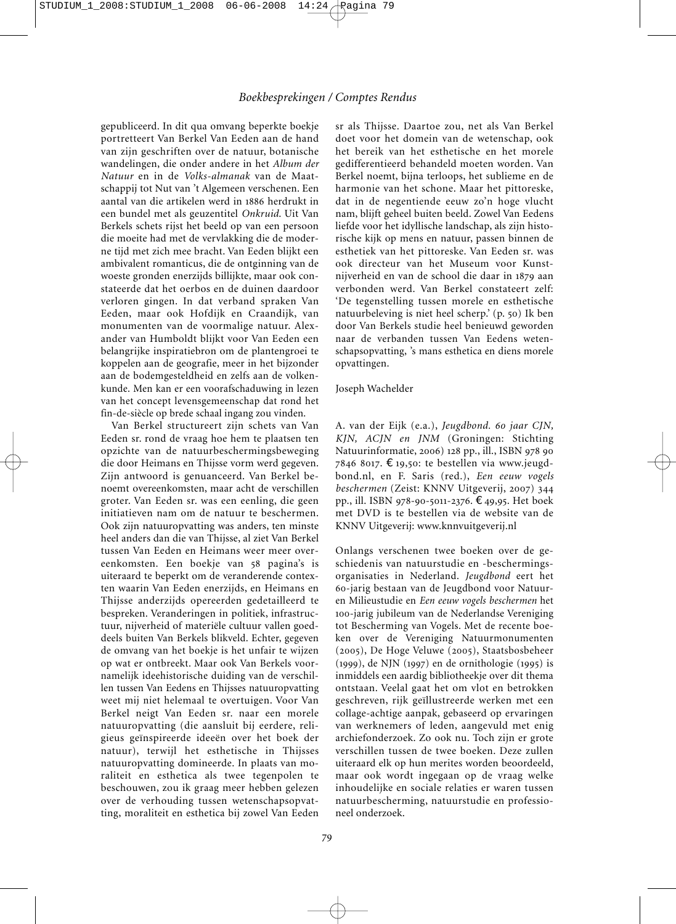gepubliceerd. In dit qua omvang beperkte boekje portretteert Van Berkel Van Eeden aan de hand van zijn geschriften over de natuur, botanische wandelingen, die onder andere in het *Album der Natuur* en in de *Volks-almanak* van de Maat schappij tot Nut van 't Algemeen verschenen. Een aantal van die artikelen werd in 1886 herdrukt in een bundel met als geuzentitel *Onkruid*. Uit Van Berkels schets rijst het beeld op van een persoon die moeite had met de vervlakking die de moderne tijd met zich mee bracht. Van Eeden blijkt een ambivalent romanticus, die de ontginning van de woeste gronden enerzijds billijkte, maar ook constateerde dat het oerbos en de duinen daardoor verloren gingen. In dat verband spraken Van Eeden, maar ook Hofdijk en Craandijk, van monumenten van de voormalige natuur. Alexander van Humboldt blijkt voor Van Eeden een belangrijke inspiratiebron om de plantengroei te koppelen aan de geografie, meer in het bijzonder aan de bodemgesteldheid en zelfs aan de volkenkunde. Men kan er een voorafschaduwing in lezen van het concept levensgemeenschap dat rond het fin-de-siècle op brede schaal ingang zou vinden.

Van Berkel structureert zijn schets van Van Eeden sr. rond de vraag hoe hem te plaatsen ten opzichte van de natuurbeschermingsbeweging die door Heimans en Thijsse vorm werd gegeven. Zijn antwoord is genuanceerd. Van Berkel be noemt overeenkomsten, maar acht de verschillen groter. Van Eeden sr. was een eenling, die geen initiatieven nam om de natuur te beschermen. Ook zijn natuuropvatting was anders, ten minste heel anders dan die van Thijsse, al ziet Van Berkel tussen Van Eeden en Heimans weer meer overeenkomsten. Een boekje van 58 pagina's is uiteraard te beperkt om de veranderende contexten waarin Van Eeden enerzijds, en Heimans en Thijsse anderzijds opereerden gedetailleerd te bespreken. Veranderingen in politiek, infrastructuur, nijverheid of materiële cultuur vallen goeddeels buiten Van Berkels blikveld. Echter, gegeven de omvang van het boekje is het unfair te wijzen op wat er ontbreekt. Maar ook Van Berkels voornamelijk ideehistorische duiding van de verschillen tussen Van Eedens en Thijsses natuuropvatting weet mij niet helemaal te overtuigen. Voor Van Berkel neigt Van Eeden sr. naar een morele natuuropvatting (die aansluit bij eerdere, religieus geïnspireerde ideeën over het boek der natuur), terwijl het esthetische in Thijsses natuuropvatting domineerde. In plaats van mo raliteit en esthetica als twee tegenpolen te beschouwen, zou ik graag meer hebben gelezen over de verhouding tussen wetenschapsopvatting, moraliteit en esthetica bij zowel Van Eeden

sr als Thijsse. Daartoe zou, net als Van Berkel doet voor het domein van de wetenschap, ook het bereik van het esthetische en het morele gedifferentieerd behandeld moeten worden. Van Berkel noemt, bijna terloops, het sublieme en de harmonie van het schone. Maar het pittoreske, dat in de negentiende eeuw zo'n hoge vlucht nam, blijft geheel buiten beeld. Zowel Van Eedens liefde voor het idyllische landschap, als zijn historische kijk op mens en natuur, passen binnen de esthetiek van het pittoreske. Van Eeden sr. was ook directeur van het Museum voor Kunstnijverheid en van de school die daar in 1879 aan verbonden werd. Van Berkel constateert zelf: 'De tegenstelling tussen morele en esthetische natuurbeleving is niet heel scherp.' (p. 50) Ik ben door Van Berkels studie heel benieuwd geworden naar de verbanden tussen Van Eedens wetenschaps opvatting, 's mans esthetica en diens morele opvattingen.

### Joseph Wachelder

A. van der Eijk (e.a.), *Jeugdbond. 60 jaar CJN, KJN, ACJN en JNM* (Groningen: Stichting Natuurinformatie, 2006) 128 pp., ill., ISBN 978 90 7846 8017. €19,50: te bestellen via www.jeugd bond.nl, en F. Saris (red.), *Een eeuw vogels beschermen* (Zeist: KNNV Uitgeverij, 2007) 344 pp., ill. ISBN 978-90-5011-2376. €49,95. Het boek met DVD is te bestellen via de website van de KNNV Uitgeverij: www.knnvuitgeverij.nl

Onlangs verschenen twee boeken over de geschiedenis van natuurstudie en -beschermings organisaties in Nederland. *Jeugdbond* eert het 60-jarig bestaan van de Jeugdbond voor Natuuren Milieustudie en *Een eeuw vogels beschermen* het 100-jarig jubileum van de Nederlandse Vereniging tot Bescherming van Vogels. Met de recente boeken over de Vereniging Natuur monumenten (2005), De Hoge Veluwe (2005), Staatsbosbeheer (1999), de NJN (1997) en de ornithologie (1995) is inmiddels een aardig bibliotheekje over dit thema ontstaan. Veelal gaat het om vlot en betrokken geschreven, rijk geïllustreerde werken met een collage-achtige aanpak, gebaseerd op ervaringen van werknemers of leden, aangevuld met enig archiefonderzoek. Zo ook nu. Toch zijn er grote verschillen tussen de twee boeken. Deze zullen uiteraard elk op hun merites worden beoordeeld, maar ook wordt ingegaan op de vraag welke inhoudelijke en sociale relaties er waren tussen natuurbescherming, natuurstudie en professioneel onderzoek.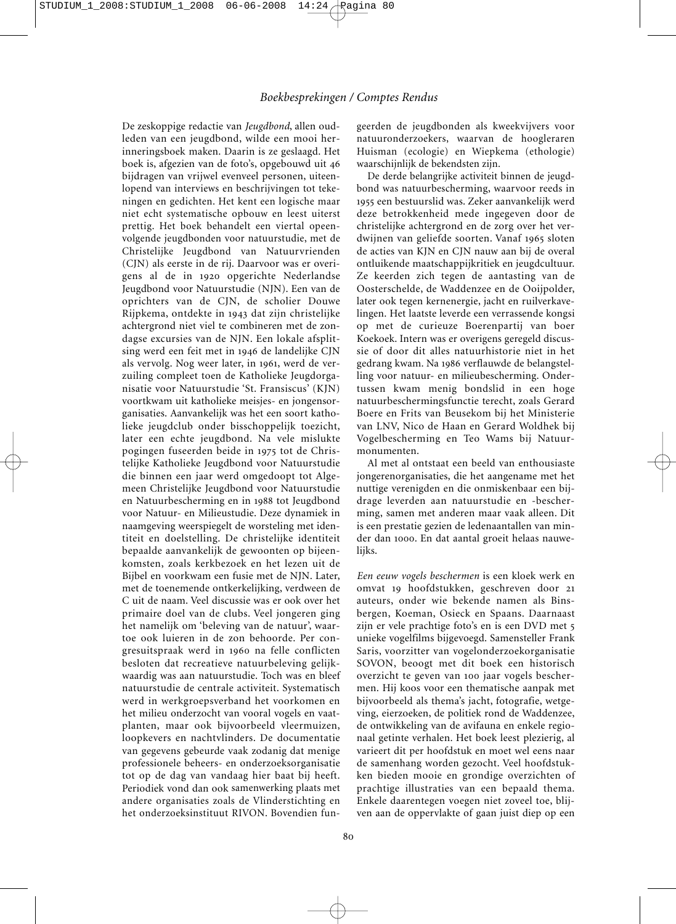De zeskoppige redactie van *Jeugdbond*, allen oudleden van een jeugdbond, wilde een mooi herinneringsboek maken. Daarin is ze geslaagd. Het boek is, afgezien van de foto's, opgebouwd uit 46 bijdragen van vrijwel evenveel personen, uiteenlopend van interviews en beschrijvingen tot tekeningen en gedichten. Het kent een logische maar niet echt systematische opbouw en leest uiterst prettig. Het boek behandelt een viertal opeen volgende jeugdbonden voor natuurstudie, met de Christelijke Jeugdbond van Natuurvrienden (CJN) als eerste in de rij. Daarvoor was er overigens al de in 1920 opgerichte Nederlandse Jeugdbond voor Natuurstudie (NJN). Een van de oprichters van de CJN, de scholier Douwe Rijpkema, ontdekte in 1943 dat zijn christelijke achtergrond niet viel te combineren met de zondagse excursies van de NJN. Een lokale afsplitsing werd een feit met in 1946 de landelijke CJN als vervolg. Nog weer later, in 1961, werd de verzuiling compleet toen de Katholieke Jeugdorganisatie voor Natuurstudie 'St. Fransiscus' (KJN) voortkwam uit katholieke meisjes- en jongensorganisaties. Aanvankelijk was het een soort katholieke jeugdclub onder bisschoppelijk toezicht, later een echte jeugdbond. Na vele mislukte pogingen fuseerden beide in 1975 tot de Chris telijke Katholieke Jeugdbond voor Natuurstudie die binnen een jaar werd omgedoopt tot Algemeen Christelijke Jeugdbond voor Natuurstudie en Natuurbescherming en in 1988 tot Jeugdbond voor Natuur- en Milieustudie. Deze dynamiek in naamgeving weerspiegelt de worsteling met identiteit en doelstelling. De christelijke identiteit bepaalde aanvankelijk de gewoonten op bijeenkomsten, zoals kerkbezoek en het lezen uit de Bijbel en voorkwam een fusie met de NJN. Later, met de toenemende ontkerkelijking, verdween de C uit de naam. Veel discussie was er ook over het primaire doel van de clubs. Veel jongeren ging het namelijk om 'beleving van de natuur', waartoe ook luieren in de zon behoorde. Per congresuitspraak werd in 1960 na felle conflicten besloten dat recreatieve natuurbeleving gelijkwaardig was aan natuurstudie. Toch was en bleef natuurstudie de centrale activiteit. Systematisch werd in werkgroepsverband het voorkomen en het milieu onderzocht van vooral vogels en vaatplanten, maar ook bijvoorbeeld vleermuizen, loopkevers en nachtvlinders. De documentatie van gegevens gebeurde vaak zodanig dat menige professionele beheers- en onderzoeksorganisatie tot op de dag van vandaag hier baat bij heeft. Periodiek vond dan ook samenwerking plaats met andere organisaties zoals de Vlinderstichting en het onderzoeksinstituut RIVON. Bovendien fungeerden de jeugdbonden als kweekvijvers voor natuuronderzoekers, waarvan de hoogleraren Huisman (ecologie) en Wiepkema (ethologie) waarschijnlijk de bekendsten zijn.

De derde belangrijke activiteit binnen de jeugdbond was natuurbescherming, waarvoor reeds in 1955 een bestuurslid was. Zeker aanvankelijk werd deze betrokkenheid mede ingegeven door de christelijke achtergrond en de zorg over het verdwijnen van geliefde soorten. Vanaf 1965 sloten de acties van KJN en CJN nauw aan bij de overal ontluikende maatschappijkritiek en jeugdcultuur. Ze keerden zich tegen de aantasting van de Oosterschelde, de Waddenzee en de Ooijpolder, later ook tegen kernenergie, jacht en ruilverkavelingen. Het laatste leverde een verrassende kongsi op met de curieuze Boerenpartij van boer Koekoek. Intern was er overigens geregeld discussie of door dit alles natuurhistorie niet in het gedrang kwam. Na 1986 verflauwde de belangstelling voor natuur- en milieubescherming. Onder tussen kwam menig bondslid in een hoge natuurbeschermingsfunctie terecht, zoals Gerard Boere en Frits van Beusekom bij het Ministerie van LNV, Nico de Haan en Gerard Woldhek bij Vogelbescherming en Teo Wams bij Natuur monumenten.

Al met al ontstaat een beeld van enthousiaste jongerenorganisaties, die het aangename met het nuttige verenigden en die onmiskenbaar een bijdrage leverden aan natuurstudie en -bescherming, samen met anderen maar vaak alleen. Dit is een prestatie gezien de ledenaantallen van minder dan 1000. En dat aantal groeit helaas nauwelijks.

*Een eeuw vogels beschermen* is een kloek werk en omvat 19 hoofdstukken, geschreven door 21 auteurs, onder wie bekende namen als Binsbergen, Koeman, Osieck en Spaans. Daarnaast zijn er vele prachtige foto's en is een DVD met 5 unieke vogelfilms bijgevoegd. Samensteller Frank Saris, voorzitter van vogelonderzoekorganisatie SOVON, beoogt met dit boek een historisch overzicht te geven van 100 jaar vogels beschermen. Hij koos voor een thematische aanpak met bijvoorbeeld als thema's jacht, fotografie, wetgeving, eierzoeken, de politiek rond de Waddenzee, de ontwikkeling van de avifauna en enkele regionaal getinte verhalen. Het boek leest plezierig, al varieert dit per hoofdstuk en moet wel eens naar de samenhang worden gezocht. Veel hoofdstukken bieden mooie en grondige overzichten of prachtige illustraties van een bepaald thema. Enkele daarentegen voegen niet zoveel toe, blijven aan de oppervlakte of gaan juist diep op een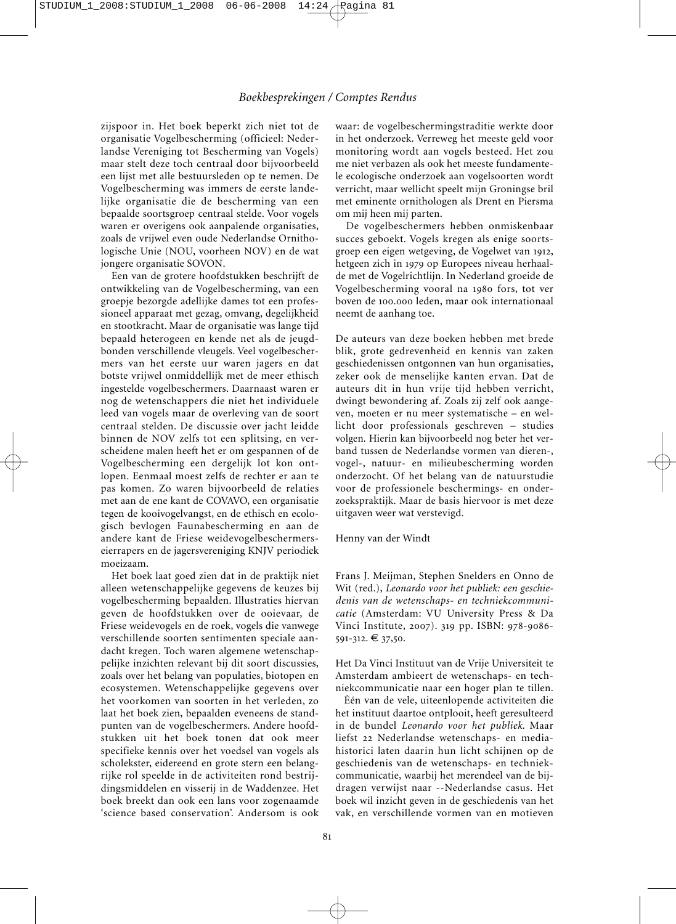zijspoor in. Het boek beperkt zich niet tot de organisatie Vogelbescherming (officieel: Neder landse Vereniging tot Bescherming van Vogels) maar stelt deze toch centraal door bijvoorbeeld een lijst met alle bestuursleden op te nemen. De Vogelbescherming was immers de eerste landelijke organisatie die de bescherming van een bepaalde soortsgroep centraal stelde. Voor vogels waren er overigens ook aanpalende organisaties, zoals de vrijwel even oude Nederlandse Ornithologische Unie (NOU, voorheen NOV) en de wat jongere organisatie SOVON.

Een van de grotere hoofdstukken beschrijft de ontwikkeling van de Vogelbescherming, van een groepje bezorgde adellijke dames tot een professioneel apparaat met gezag, omvang, degelijkheid en stootkracht. Maar de organisatie was lange tijd bepaald heterogeen en kende net als de jeugdbonden verschillende vleugels. Veel vogelbeschermers van het eerste uur waren jagers en dat botste vrijwel onmiddellijk met de meer ethisch ingestelde vogelbeschermers. Daarnaast waren er nog de wetenschappers die niet het individuele leed van vogels maar de overleving van de soort centraal stelden. De discussie over jacht leidde binnen de NOV zelfs tot een splitsing, en verscheidene malen heeft het er om gespannen of de Vogelbescherming een dergelijk lot kon ontlopen. Eenmaal moest zelfs de rechter er aan te pas komen. Zo waren bijvoorbeeld de relaties met aan de ene kant de COVAVO, een organisatie tegen de kooivogelvangst, en de ethisch en ecologisch bevlogen Faunabescherming en aan de andere kant de Friese weidevogelbeschermerseierrapers en de jagersvereniging KNJV periodiek moeizaam.

Het boek laat goed zien dat in de praktijk niet alleen wetenschappelijke gegevens de keuzes bij vogelbescherming bepaalden. Illustraties hiervan geven de hoofdstukken over de ooievaar, de Friese weidevogels en de roek, vogels die vanwege verschillende soorten sentimenten speciale aandacht kregen. Toch waren algemene wetenschappelijke inzichten relevant bij dit soort discussies, zoals over het belang van populaties, biotopen en ecosystemen. Wetenschappelijke gegevens over het voorkomen van soorten in het verleden, zo laat het boek zien, bepaalden eveneens de standpunten van de vogelbeschermers. Andere hoofdstukken uit het boek tonen dat ook meer specifieke kennis over het voedsel van vogels als scholekster, eidereend en grote stern een belangrijke rol speelde in de activiteiten rond bestrijdingsmiddelen en visserij in de Waddenzee. Het boek breekt dan ook een lans voor zogenaamde 'science based conservation'. Andersom is ook

waar: de vogelbeschermingstraditie werkte door in het onderzoek. Verreweg het meeste geld voor monitoring wordt aan vogels besteed. Het zou me niet verbazen als ook het meeste fundamentele ecologische onderzoek aan vogelsoorten wordt verricht, maar wellicht speelt mijn Groningse bril met eminente ornithologen als Drent en Piersma om mij heen mij parten.

De vogelbeschermers hebben onmiskenbaar succes geboekt. Vogels kregen als enige soortsgroep een eigen wetgeving, de Vogelwet van 1912, hetgeen zich in 1979 op Europees niveau herhaalde met de Vogelrichtlijn. In Nederland groeide de Vogelbescherming vooral na 1980 fors, tot ver boven de 100.000 leden, maar ook internationaal neemt de aanhang toe.

De auteurs van deze boeken hebben met brede blik, grote gedrevenheid en kennis van zaken geschiedenissen ontgonnen van hun organisaties, zeker ook de menselijke kanten ervan. Dat de auteurs dit in hun vrije tijd hebben verricht, dwingt bewondering af. Zoals zij zelf ook aangeven, moeten er nu meer systematische – en wellicht door professionals geschreven – studies volgen. Hierin kan bijvoorbeeld nog beter het verband tussen de Nederlandse vormen van dieren-, vogel-, natuur- en milieubescherming worden onderzocht. Of het belang van de natuurstudie voor de professionele beschermings- en onderzoekspraktijk. Maar de basis hiervoor is met deze uitgaven weer wat verstevigd.

#### Henny van der Windt

Frans J. Meijman, Stephen Snelders en Onno de Wit (red.), *Leonardo voor het publiek: een geschiedenis van de wetenschaps- en techniekcommuni catie* (Amsterdam: VU University Press & Da Vinci Institute, 2007). 319 pp. ISBN: 978-9086- 591-312. € 37,50.

Het Da Vinci Instituut van de Vrije Universiteit te Amsterdam ambieert de wetenschaps- en techniekcommunicatie naar een hoger plan te tillen.

Één van de vele, uiteenlopende activiteiten die het instituut daartoe ontplooit, heeft geresulteerd in de bundel *Leonardo voor het publiek*. Maar liefst 22 Nederlandse wetenschaps- en mediahistorici laten daarin hun licht schijnen op de geschiedenis van de wetenschaps- en techniekcommunicatie, waarbij het merendeel van de bijdragen verwijst naar --Nederlandse casus. Het boek wil inzicht geven in de geschiedenis van het vak, en verschillende vormen van en motieven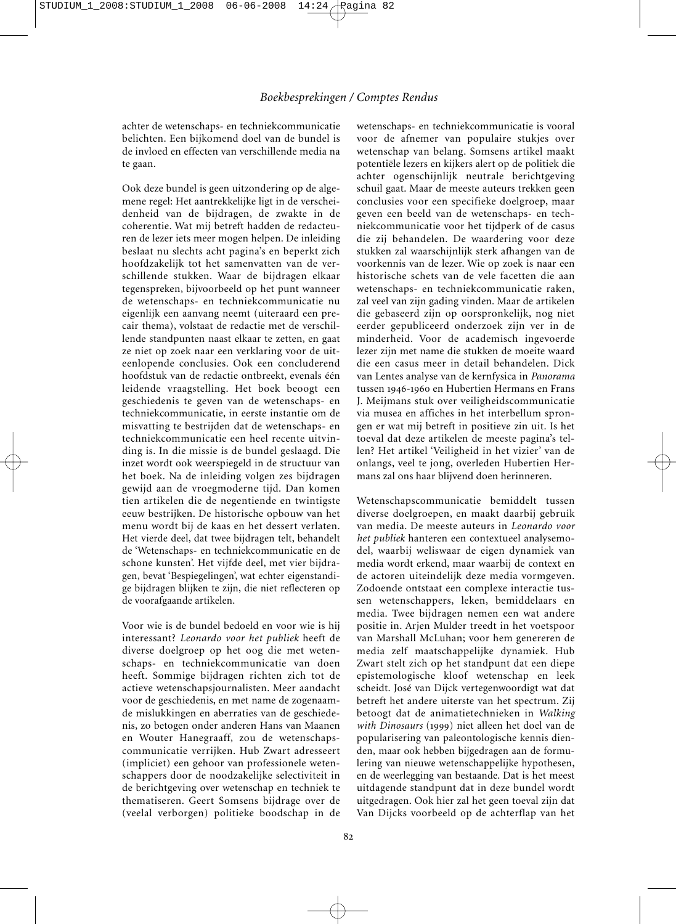achter de wetenschaps- en techniekcommunicatie be lichten. Een bijkomend doel van de bundel is de invloed en effecten van verschillende media na te gaan.

Ook deze bundel is geen uitzondering op de algemene regel: Het aantrekkelijke ligt in de verscheidenheid van de bijdragen, de zwakte in de coherentie. Wat mij betreft hadden de redacteuren de lezer iets meer mogen helpen. De inleiding beslaat nu slechts acht pagina's en beperkt zich hoofdzakelijk tot het samenvatten van de verschillende stukken. Waar de bijdragen elkaar tegenspreken, bijvoorbeeld op het punt wanneer de wetenschaps- en techniekcommunicatie nu eigenlijk een aanvang neemt (uiteraard een precair thema), volstaat de redactie met de verschillende standpunten naast elkaar te zetten, en gaat ze niet op zoek naar een verklaring voor de uiteenlopende conclusies. Ook een concluderend hoofdstuk van de redactie ontbreekt, evenals één leidende vraagstelling. Het boek beoogt een geschiedenis te geven van de wetenschaps- en techniekcommunicatie, in eerste instantie om de misvatting te bestrijden dat de wetenschaps- en techniekcommunicatie een heel recente uitvinding is. In die missie is de bundel geslaagd. Die inzet wordt ook weerspiegeld in de structuur van het boek. Na de inleiding volgen zes bijdragen gewijd aan de vroegmoderne tijd. Dan komen tien artikelen die de negentiende en twintigste eeuw bestrijken. De historische opbouw van het menu wordt bij de kaas en het dessert verlaten. Het vierde deel, dat twee bijdragen telt, behandelt de 'Wetenschaps- en techniekcommunicatie en de schone kunsten'. Het vijfde deel, met vier bijdragen, bevat 'Bespiegelingen', wat echter eigenstandige bijdragen blijken te zijn, die niet reflecteren op de voorafgaande artikelen.

Voor wie is de bundel bedoeld en voor wie is hij interessant? *Leonardo voor het publiek* heeft de diverse doelgroep op het oog die met wetenschaps- en techniekcommunicatie van doen heeft. Sommige bijdragen richten zich tot de actieve wetenschapsjournalisten. Meer aandacht voor de geschiedenis, en met name de zogenaamde mislukkingen en aberraties van de geschiedenis, zo betogen onder anderen Hans van Maanen en Wouter Hanegraaff, zou de wetenschapscommunicatie verrijken. Hub Zwart adresseert (impliciet) een gehoor van professionele wetenschappers door de noodzakelijke selectiviteit in de berichtgeving over wetenschap en techniek te thematiseren. Geert Somsens bijdrage over de (veelal verborgen) politieke boodschap in de

wetenschaps- en techniekcommunicatie is vooral voor de afnemer van populaire stukjes over wetenschap van belang. Somsens artikel maakt potentiële lezers en kijkers alert op de politiek die achter ogenschijnlijk neutrale berichtgeving schuil gaat. Maar de meeste auteurs trekken geen conclusies voor een specifieke doelgroep, maar geven een beeld van de wetenschaps- en techniekcommunicatie voor het tijdperk of de casus die zij behandelen. De waardering voor deze stukken zal waarschijnlijk sterk afhangen van de voorkennis van de lezer. Wie op zoek is naar een historische schets van de vele facetten die aan wetenschaps- en techniekcommunicatie raken, zal veel van zijn gading vinden. Maar de artikelen die gebaseerd zijn op oorspronkelijk, nog niet eerder gepubliceerd onderzoek zijn ver in de minderheid. Voor de academisch ingevoerde lezer zijn met name die stukken de moeite waard die een casus meer in detail behandelen. Dick van Lentes analyse van de kernfysica in *Panorama* tussen 1946-1960 en Hubertien Hermans en Frans J. Meijmans stuk over veiligheidscommunicatie via musea en affiches in het interbellum sprongen er wat mij betreft in positieve zin uit. Is het toeval dat deze artikelen de meeste pagina's tellen? Het artikel 'Veiligheid in het vizier' van de onlangs, veel te jong, overleden Hubertien Her mans zal ons haar blijvend doen herinneren.

Wetenschapscommunicatie bemiddelt tussen diverse doelgroepen, en maakt daarbij gebruik van media. De meeste auteurs in *Leonardo voor het publiek* hanteren een contextueel analysemodel, waarbij weliswaar de eigen dynamiek van media wordt erkend, maar waarbij de context en de actoren uiteindelijk deze media vormgeven. Zodoende ontstaat een complexe interactie tussen wetenschappers, leken, bemiddelaars en media. Twee bijdragen nemen een wat andere positie in. Arjen Mulder treedt in het voetspoor van Marshall McLuhan; voor hem genereren de media zelf maatschappelijke dynamiek. Hub Zwart stelt zich op het standpunt dat een diepe epistemologische kloof wetenschap en leek scheidt. José van Dijck vertegenwoordigt wat dat betreft het andere uiterste van het spectrum. Zij betoogt dat de animatietechnieken in *Walking with Dinosaurs* (1999) niet alleen het doel van de popularisering van paleontologische kennis dienden, maar ook hebben bijgedragen aan de formulering van nieuwe wetenschappelijke hypothesen, en de weerlegging van bestaande. Dat is het meest uitdagende standpunt dat in deze bundel wordt uitgedragen. Ook hier zal het geen toeval zijn dat Van Dijcks voorbeeld op de achterflap van het